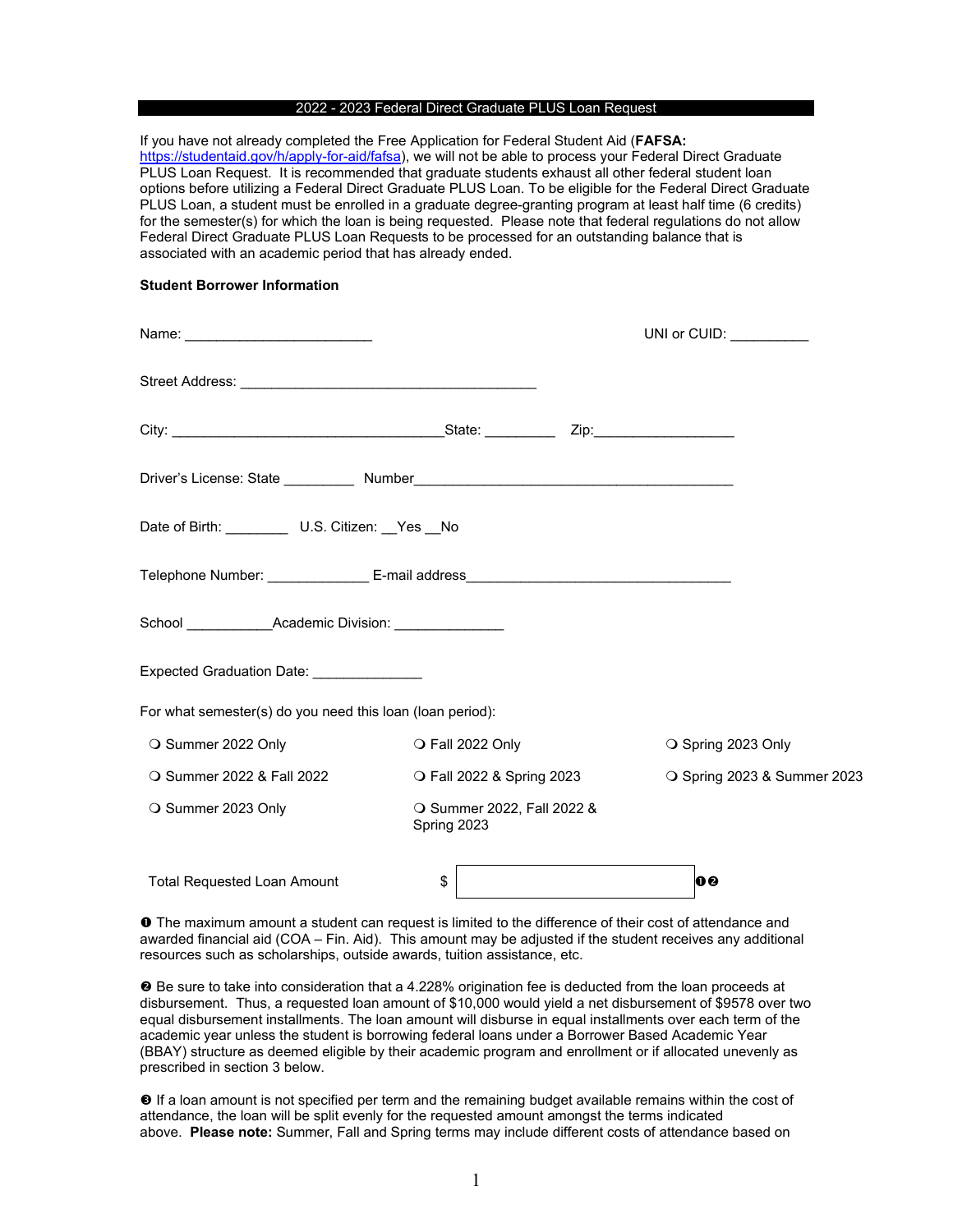#### 2022 - 2023 Federal Direct Graduate PLUS Loan Request

If you have not already completed the Free Application for Federal Student Aid (**FAFSA:**  [https://studentaid.gov/h/apply-for-aid/fafsa\)](https://studentaid.gov/h/apply-for-aid/fafsa), we will not be able to process your Federal Direct Graduate PLUS Loan Request. It is recommended that graduate students exhaust all other federal student loan options before utilizing a Federal Direct Graduate PLUS Loan. To be eligible for the Federal Direct Graduate PLUS Loan, a student must be enrolled in a graduate degree-granting program at least half time (6 credits) for the semester(s) for which the loan is being requested. Please note that federal regulations do not allow Federal Direct Graduate PLUS Loan Requests to be processed for an outstanding balance that is associated with an academic period that has already ended.

#### **Student Borrower Information**

|                                                                     | UNI or CUID: $\_\_\_\_\_\_\_\_\_\_\_\_\_$ |                           |                    |                             |  |
|---------------------------------------------------------------------|-------------------------------------------|---------------------------|--------------------|-----------------------------|--|
|                                                                     |                                           |                           |                    |                             |  |
|                                                                     |                                           |                           |                    |                             |  |
|                                                                     |                                           |                           |                    |                             |  |
| Date of Birth: ____________ U.S. Citizen: __Yes __No                |                                           |                           |                    |                             |  |
|                                                                     |                                           |                           |                    |                             |  |
| School ____________________Academic Division: _____________________ |                                           |                           |                    |                             |  |
| Expected Graduation Date: ________________                          |                                           |                           |                    |                             |  |
| For what semester(s) do you need this loan (loan period):           |                                           |                           |                    |                             |  |
| ○ Summer 2022 Only                                                  | O Fall 2022 Only                          |                           | ○ Spring 2023 Only |                             |  |
| ○ Summer 2022 & Fall 2022                                           |                                           | O Fall 2022 & Spring 2023 |                    | O Spring 2023 & Summer 2023 |  |
| ○ Summer 2023 Only                                                  | O Summer 2022, Fall 2022 &<br>Spring 2023 |                           |                    |                             |  |
| <b>Total Requested Loan Amount</b>                                  | \$                                        |                           | 00                 |                             |  |

 The maximum amount a student can request is limited to the difference of their cost of attendance and awarded financial aid (COA – Fin. Aid). This amount may be adjusted if the student receives any additional resources such as scholarships, outside awards, tuition assistance, etc.

 Be sure to take into consideration that a 4.228% origination fee is deducted from the loan proceeds at disbursement. Thus, a requested loan amount of \$10,000 would yield a net disbursement of \$9578 over two equal disbursement installments. The loan amount will disburse in equal installments over each term of the academic year unless the student is borrowing federal loans under a Borrower Based Academic Year (BBAY) structure as deemed eligible by their academic program and enrollment or if allocated unevenly as prescribed in section 3 below.

 $\Theta$  If a loan amount is not specified per term and the remaining budget available remains within the cost of attendance, the loan will be split evenly for the requested amount amongst the terms indicated above. **Please note:** Summer, Fall and Spring terms may include different costs of attendance based on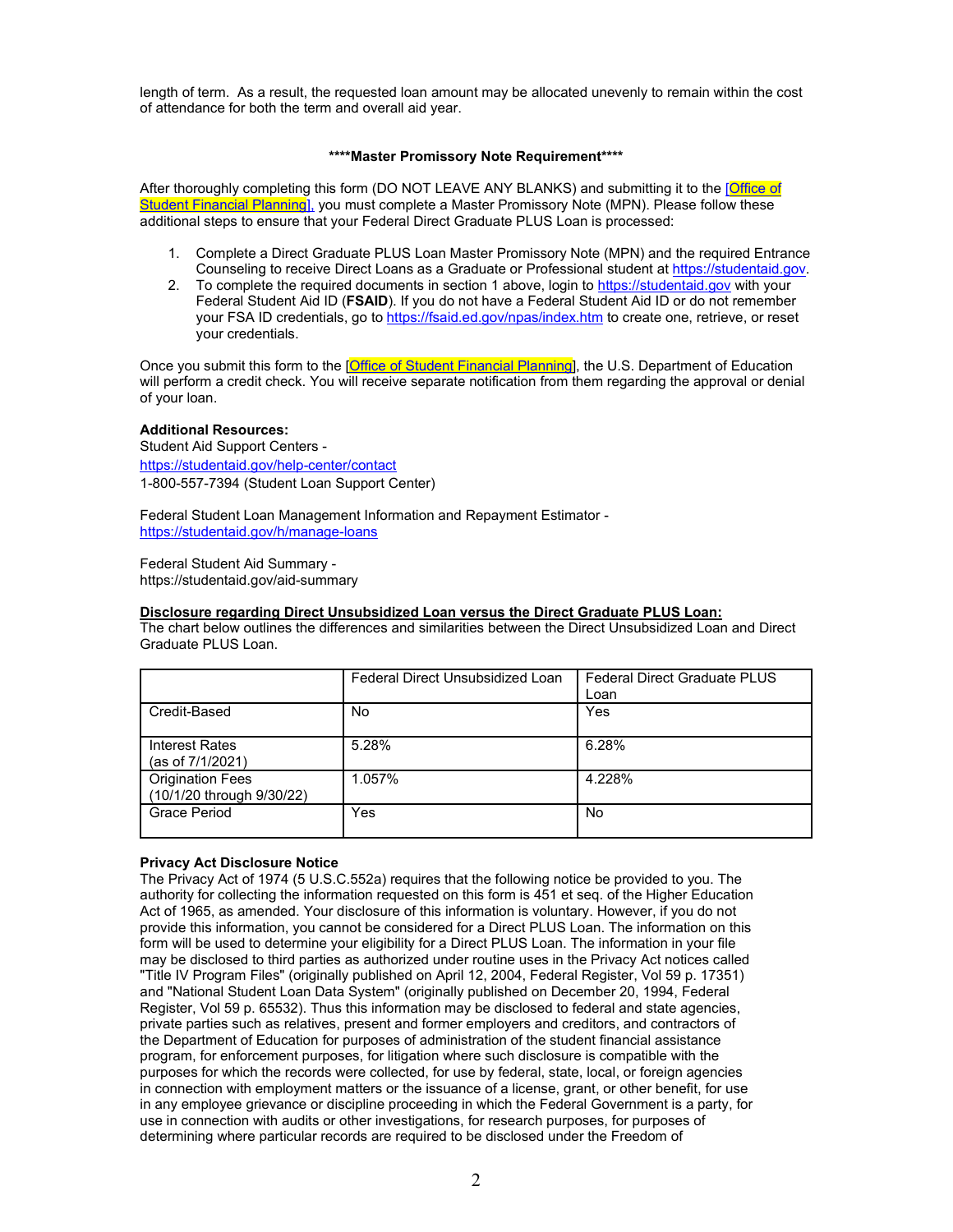length of term. As a result, the requested loan amount may be allocated unevenly to remain within the cost of attendance for both the term and overall aid year.

## **\*\*\*\*Master Promissory Note Requirement\*\*\*\***

After thoroughly completing this form (DO NOT LEAVE ANY BLANKS) and submitting it to the [Office of [Student Financial Planning\],](https://www.sfs.columbia.edu/about-us#sfp) you must complete a Master Promissory Note (MPN). Please follow these additional steps to ensure that your Federal Direct Graduate PLUS Loan is processed:

- 1. Complete a Direct Graduate PLUS Loan Master Promissory Note (MPN) and the required Entrance Counseling to receive Direct Loans as a Graduate or Professional student at [https://studentaid.gov.](https://studentaid.gov/)
- 2. To complete the required documents in section 1 above, login to [https://studentaid.gov](https://studentaid.gov/) with your Federal Student Aid ID (**FSAID**). If you do not have a Federal Student Aid ID or do not remember your FSA ID credentials, go t[o https://fsaid.ed.gov/npas/index.htm](https://fsaid.ed.gov/npas/index.htm) to create one, retrieve, or reset your credentials.

Once you submit this form to the [\[Office of Student Financial Planning\]](https://www.sfs.columbia.edu/about-us#sfp), the U.S. Department of Education will perform a credit check. You will receive separate notification from them regarding the approval or denial of your loan.

## **Additional Resources:**

Student Aid Support Centers <https://studentaid.gov/help-center/contact> 1-800-557-7394 (Student Loan Support Center)

Federal Student Loan Management Information and Repayment Estimator <https://studentaid.gov/h/manage-loans>

Federal Student Aid Summary https://studentaid.gov/aid-summary

## **Disclosure regarding Direct Unsubsidized Loan versus the Direct Graduate PLUS Loan:**

The chart below outlines the differences and similarities between the Direct Unsubsidized Loan and Direct Graduate PLUS Loan.

|                                                      | Federal Direct Unsubsidized Loan | <b>Federal Direct Graduate PLUS</b><br>Loan |
|------------------------------------------------------|----------------------------------|---------------------------------------------|
| Credit-Based                                         | No                               | Yes                                         |
| Interest Rates<br>(as of 7/1/2021)                   | 5.28%                            | 6.28%                                       |
| <b>Origination Fees</b><br>(10/1/20 through 9/30/22) | 1.057%                           | 4.228%                                      |
| <b>Grace Period</b>                                  | Yes                              | No                                          |

# **Privacy Act Disclosure Notice**

The Privacy Act of 1974 (5 U.S.C.552a) requires that the following notice be provided to you. The authority for collecting the information requested on this form is 451 et seq. of the Higher Education Act of 1965, as amended. Your disclosure of this information is voluntary. However, if you do not provide this information, you cannot be considered for a Direct PLUS Loan. The information on this form will be used to determine your eligibility for a Direct PLUS Loan. The information in your file may be disclosed to third parties as authorized under routine uses in the Privacy Act notices called "Title IV Program Files" (originally published on April 12, 2004, Federal Register, Vol 59 p. 17351) and "National Student Loan Data System" (originally published on December 20, 1994, Federal Register, Vol 59 p. 65532). Thus this information may be disclosed to federal and state agencies, private parties such as relatives, present and former employers and creditors, and contractors of the Department of Education for purposes of administration of the student financial assistance program, for enforcement purposes, for litigation where such disclosure is compatible with the purposes for which the records were collected, for use by federal, state, local, or foreign agencies in connection with employment matters or the issuance of a license, grant, or other benefit, for use in any employee grievance or discipline proceeding in which the Federal Government is a party, for use in connection with audits or other investigations, for research purposes, for purposes of determining where particular records are required to be disclosed under the Freedom of